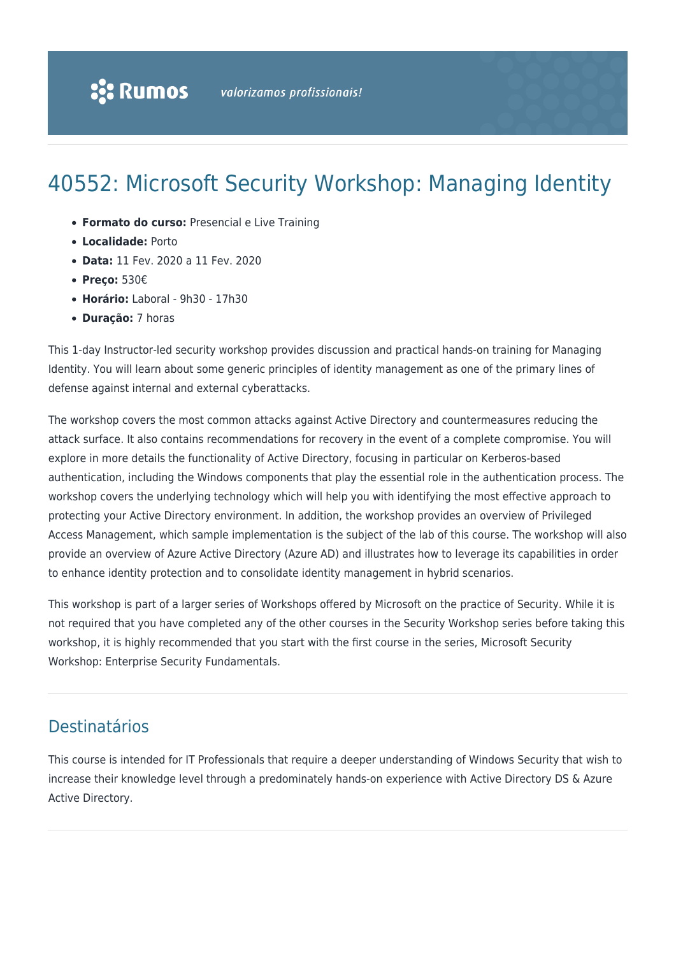# 40552: Microsoft Security Workshop: Managing Identity

- **Formato do curso:** Presencial e Live Training
- **Localidade:** Porto
- **Data:** 11 Fev. 2020 a 11 Fev. 2020
- **Preço:** 530€
- **Horário:** Laboral 9h30 17h30
- **Duração:** 7 horas

This 1-day Instructor-led security workshop provides discussion and practical hands-on training for Managing Identity. You will learn about some generic principles of identity management as one of the primary lines of defense against internal and external cyberattacks.

The workshop covers the most common attacks against Active Directory and countermeasures reducing the attack surface. It also contains recommendations for recovery in the event of a complete compromise. You will explore in more details the functionality of Active Directory, focusing in particular on Kerberos-based authentication, including the Windows components that play the essential role in the authentication process. The workshop covers the underlying technology which will help you with identifying the most effective approach to protecting your Active Directory environment. In addition, the workshop provides an overview of Privileged Access Management, which sample implementation is the subject of the lab of this course. The workshop will also provide an overview of Azure Active Directory (Azure AD) and illustrates how to leverage its capabilities in order to enhance identity protection and to consolidate identity management in hybrid scenarios.

This workshop is part of a larger series of Workshops offered by Microsoft on the practice of Security. While it is not required that you have completed any of the other courses in the Security Workshop series before taking this workshop, it is highly recommended that you start with the first course in the series, Microsoft Security Workshop: Enterprise Security Fundamentals.

# Destinatários

This course is intended for IT Professionals that require a deeper understanding of Windows Security that wish to increase their knowledge level through a predominately hands-on experience with Active Directory DS & Azure Active Directory.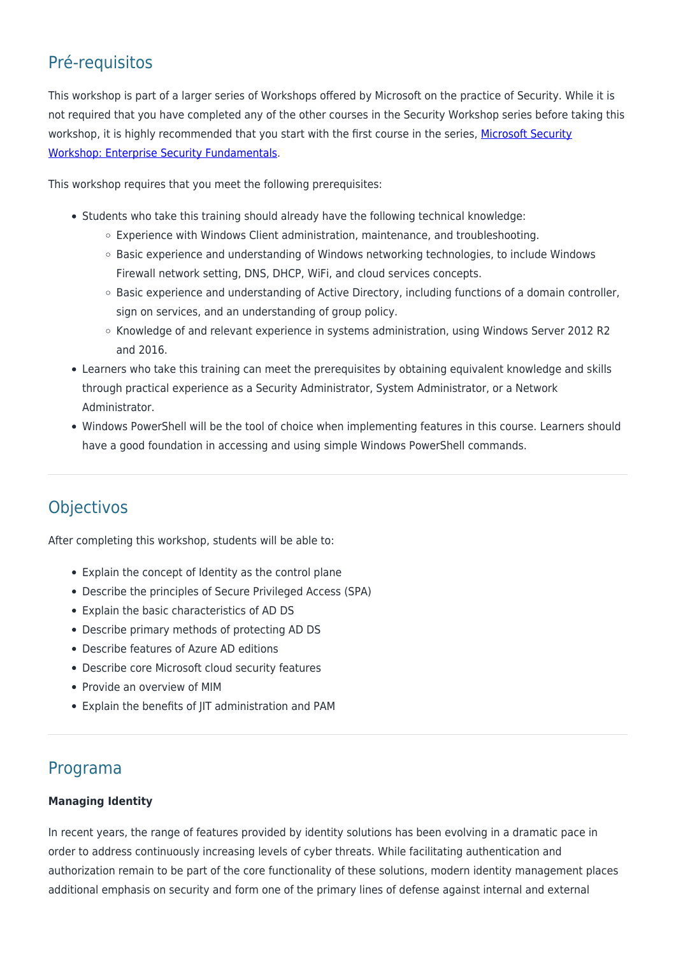# Pré-requisitos

This workshop is part of a larger series of Workshops offered by Microsoft on the practice of Security. While it is not required that you have completed any of the other courses in the Security Workshop series before taking this workshop, it is highly recommended that you start with the first course in the series, [Microsoft Security](https://rumos.pt/curso/microsoft-security-workshop-enterprise-security-fundamentals-40551-presencial/) [Workshop: Enterprise Security Fundamentals](https://rumos.pt/curso/microsoft-security-workshop-enterprise-security-fundamentals-40551-presencial/).

This workshop requires that you meet the following prerequisites:

- Students who take this training should already have the following technical knowledge:
	- Experience with Windows Client administration, maintenance, and troubleshooting.
	- o Basic experience and understanding of Windows networking technologies, to include Windows Firewall network setting, DNS, DHCP, WiFi, and cloud services concepts.
	- $\circ$  Basic experience and understanding of Active Directory, including functions of a domain controller, sign on services, and an understanding of group policy.
	- Knowledge of and relevant experience in systems administration, using Windows Server 2012 R2 and 2016.
- Learners who take this training can meet the prerequisites by obtaining equivalent knowledge and skills through practical experience as a Security Administrator, System Administrator, or a Network Administrator.
- Windows PowerShell will be the tool of choice when implementing features in this course. Learners should have a good foundation in accessing and using simple Windows PowerShell commands.

# Objectivos

After completing this workshop, students will be able to:

- Explain the concept of Identity as the control plane
- Describe the principles of Secure Privileged Access (SPA)
- Explain the basic characteristics of AD DS
- Describe primary methods of protecting AD DS
- Describe features of Azure AD editions
- Describe core Microsoft cloud security features
- Provide an overview of MIM
- Explain the benefits of JIT administration and PAM

### Programa

#### **Managing Identity**

In recent years, the range of features provided by identity solutions has been evolving in a dramatic pace in order to address continuously increasing levels of cyber threats. While facilitating authentication and authorization remain to be part of the core functionality of these solutions, modern identity management places additional emphasis on security and form one of the primary lines of defense against internal and external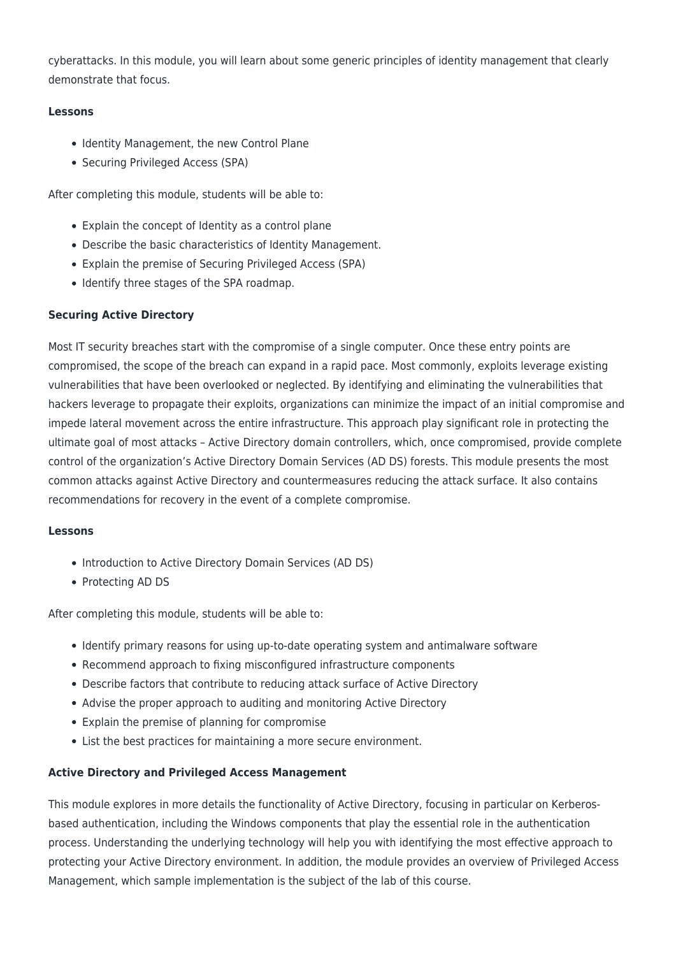cyberattacks. In this module, you will learn about some generic principles of identity management that clearly demonstrate that focus.

#### **Lessons**

- Identity Management, the new Control Plane
- Securing Privileged Access (SPA)

After completing this module, students will be able to:

- Explain the concept of Identity as a control plane
- Describe the basic characteristics of Identity Management.
- Explain the premise of Securing Privileged Access (SPA)
- Identify three stages of the SPA roadmap.

#### **Securing Active Directory**

Most IT security breaches start with the compromise of a single computer. Once these entry points are compromised, the scope of the breach can expand in a rapid pace. Most commonly, exploits leverage existing vulnerabilities that have been overlooked or neglected. By identifying and eliminating the vulnerabilities that hackers leverage to propagate their exploits, organizations can minimize the impact of an initial compromise and impede lateral movement across the entire infrastructure. This approach play significant role in protecting the ultimate goal of most attacks – Active Directory domain controllers, which, once compromised, provide complete control of the organization's Active Directory Domain Services (AD DS) forests. This module presents the most common attacks against Active Directory and countermeasures reducing the attack surface. It also contains recommendations for recovery in the event of a complete compromise.

#### **Lessons**

- Introduction to Active Directory Domain Services (AD DS)
- Protecting AD DS

After completing this module, students will be able to:

- Identify primary reasons for using up-to-date operating system and antimalware software
- Recommend approach to fixing misconfigured infrastructure components
- Describe factors that contribute to reducing attack surface of Active Directory
- Advise the proper approach to auditing and monitoring Active Directory
- Explain the premise of planning for compromise
- List the best practices for maintaining a more secure environment.

#### **Active Directory and Privileged Access Management**

This module explores in more details the functionality of Active Directory, focusing in particular on Kerberosbased authentication, including the Windows components that play the essential role in the authentication process. Understanding the underlying technology will help you with identifying the most effective approach to protecting your Active Directory environment. In addition, the module provides an overview of Privileged Access Management, which sample implementation is the subject of the lab of this course.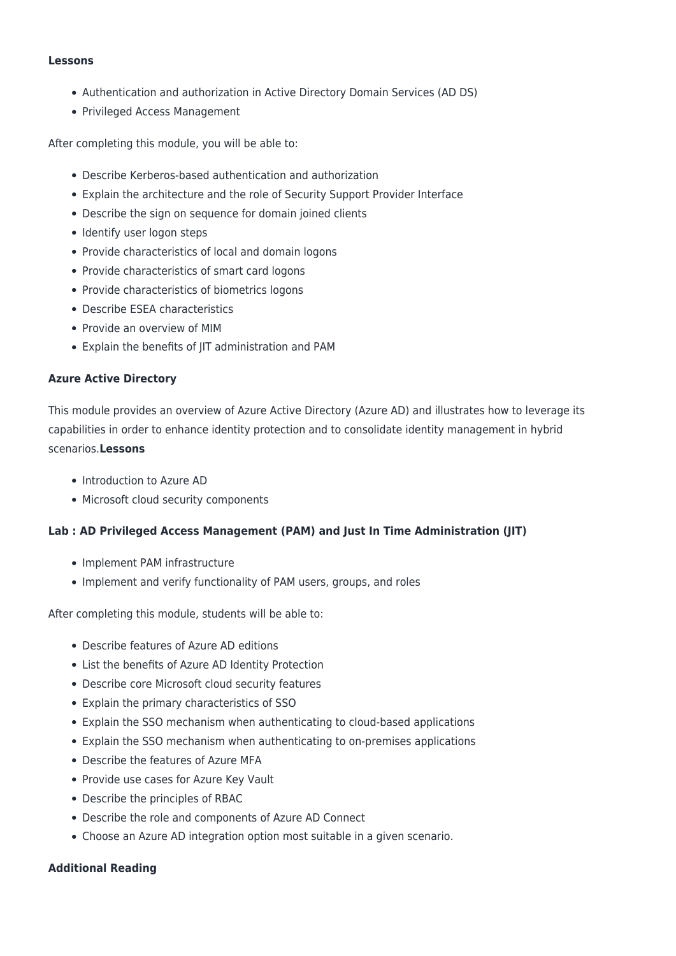#### **Lessons**

- Authentication and authorization in Active Directory Domain Services (AD DS)
- Privileged Access Management

After completing this module, you will be able to:

- Describe Kerberos-based authentication and authorization
- Explain the architecture and the role of Security Support Provider Interface
- Describe the sign on sequence for domain joined clients
- Identify user logon steps
- Provide characteristics of local and domain logons
- Provide characteristics of smart card logons
- Provide characteristics of biometrics logons
- Describe ESEA characteristics
- Provide an overview of MIM
- Explain the benefits of JIT administration and PAM

#### **Azure Active Directory**

This module provides an overview of Azure Active Directory (Azure AD) and illustrates how to leverage its capabilities in order to enhance identity protection and to consolidate identity management in hybrid scenarios.**Lessons**

- Introduction to Azure AD
- Microsoft cloud security components

#### **Lab : AD Privileged Access Management (PAM) and Just In Time Administration (JIT)**

- Implement PAM infrastructure
- Implement and verify functionality of PAM users, groups, and roles

After completing this module, students will be able to:

- Describe features of Azure AD editions
- List the benefits of Azure AD Identity Protection
- Describe core Microsoft cloud security features
- Explain the primary characteristics of SSO
- Explain the SSO mechanism when authenticating to cloud-based applications
- Explain the SSO mechanism when authenticating to on-premises applications
- Describe the features of Azure MFA
- Provide use cases for Azure Key Vault
- Describe the principles of RBAC
- Describe the role and components of Azure AD Connect
- Choose an Azure AD integration option most suitable in a given scenario.

#### **Additional Reading**